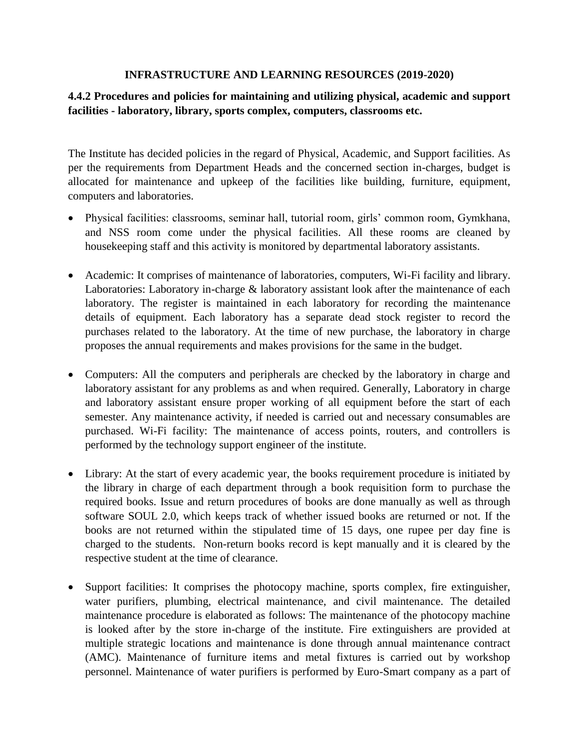## **INFRASTRUCTURE AND LEARNING RESOURCES (2019-2020)**

## **4.4.2 Procedures and policies for maintaining and utilizing physical, academic and support facilities - laboratory, library, sports complex, computers, classrooms etc.**

The Institute has decided policies in the regard of Physical, Academic, and Support facilities. As per the requirements from Department Heads and the concerned section in-charges, budget is allocated for maintenance and upkeep of the facilities like building, furniture, equipment, computers and laboratories.

- Physical facilities: classrooms, seminar hall, tutorial room, girls' common room, Gymkhana, and NSS room come under the physical facilities. All these rooms are cleaned by housekeeping staff and this activity is monitored by departmental laboratory assistants.
- Academic: It comprises of maintenance of laboratories, computers, Wi-Fi facility and library. Laboratories: Laboratory in-charge & laboratory assistant look after the maintenance of each laboratory. The register is maintained in each laboratory for recording the maintenance details of equipment. Each laboratory has a separate dead stock register to record the purchases related to the laboratory. At the time of new purchase, the laboratory in charge proposes the annual requirements and makes provisions for the same in the budget.
- Computers: All the computers and peripherals are checked by the laboratory in charge and laboratory assistant for any problems as and when required. Generally, Laboratory in charge and laboratory assistant ensure proper working of all equipment before the start of each semester. Any maintenance activity, if needed is carried out and necessary consumables are purchased. Wi-Fi facility: The maintenance of access points, routers, and controllers is performed by the technology support engineer of the institute.
- Library: At the start of every academic year, the books requirement procedure is initiated by the library in charge of each department through a book requisition form to purchase the required books. Issue and return procedures of books are done manually as well as through software SOUL 2.0, which keeps track of whether issued books are returned or not. If the books are not returned within the stipulated time of 15 days, one rupee per day fine is charged to the students. Non-return books record is kept manually and it is cleared by the respective student at the time of clearance.
- Support facilities: It comprises the photocopy machine, sports complex, fire extinguisher, water purifiers, plumbing, electrical maintenance, and civil maintenance. The detailed maintenance procedure is elaborated as follows: The maintenance of the photocopy machine is looked after by the store in-charge of the institute. Fire extinguishers are provided at multiple strategic locations and maintenance is done through annual maintenance contract (AMC). Maintenance of furniture items and metal fixtures is carried out by workshop personnel. Maintenance of water purifiers is performed by Euro-Smart company as a part of